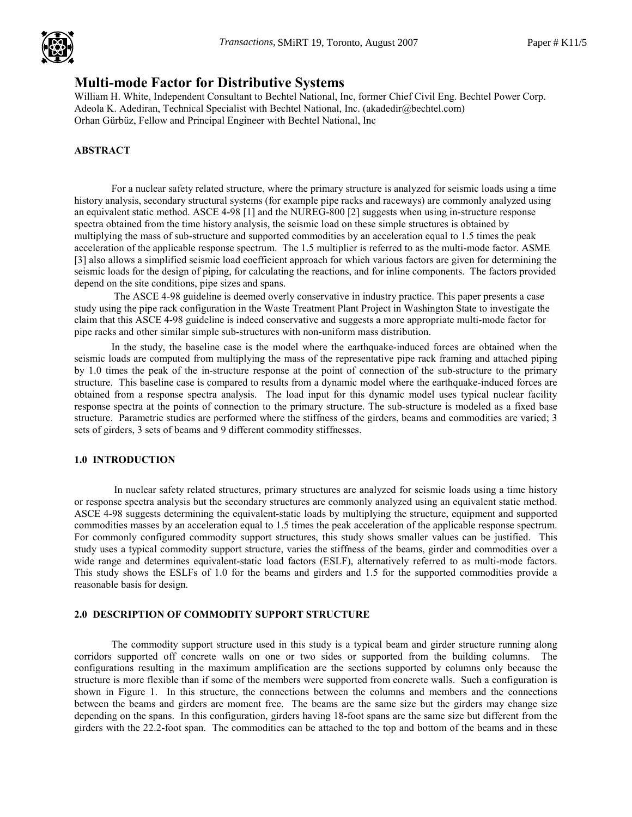

# Multi-mode Factor for Distributive Systems .

William H. White, Independent Consultant to Bechtel National, Inc, former Chief Civil Eng. Bechtel Power Corp. Adeola K. Adediran, Technical Specialist with Bechtel National, Inc. (akadedir@bechtel.com) Orhan Gürbüz, Fellow and Principal Engineer with Bechtel National, Inc

## ABSTRACT

For a nuclear safety related structure, where the primary structure is analyzed for seismic loads using a time history analysis, secondary structural systems (for example pipe racks and raceways) are commonly analyzed using an equivalent static method. ASCE 4-98 [1] and the NUREG-800 [2] suggests when using in-structure response spectra obtained from the time history analysis, the seismic load on these simple structures is obtained by multiplying the mass of sub-structure and supported commodities by an acceleration equal to 1.5 times the peak acceleration of the applicable response spectrum. The 1.5 multiplier is referred to as the multi-mode factor. ASME [3] also allows a simplified seismic load coefficient approach for which various factors are given for determining the seismic loads for the design of piping, for calculating the reactions, and for inline components. The factors provided depend on the site conditions, pipe sizes and spans.

 The ASCE 4-98 guideline is deemed overly conservative in industry practice. This paper presents a case study using the pipe rack configuration in the Waste Treatment Plant Project in Washington State to investigate the claim that this ASCE 4-98 guideline is indeed conservative and suggests a more appropriate multi-mode factor for pipe racks and other similar simple sub-structures with non-uniform mass distribution.

In the study, the baseline case is the model where the earthquake-induced forces are obtained when the seismic loads are computed from multiplying the mass of the representative pipe rack framing and attached piping by 1.0 times the peak of the in-structure response at the point of connection of the sub-structure to the primary structure. This baseline case is compared to results from a dynamic model where the earthquake-induced forces are obtained from a response spectra analysis. The load input for this dynamic model uses typical nuclear facility response spectra at the points of connection to the primary structure. The sub-structure is modeled as a fixed base structure. Parametric studies are performed where the stiffness of the girders, beams and commodities are varied; 3 sets of girders, 3 sets of beams and 9 different commodity stiffnesses.

#### 1.0 INTRODUCTION

 In nuclear safety related structures, primary structures are analyzed for seismic loads using a time history or response spectra analysis but the secondary structures are commonly analyzed using an equivalent static method. ASCE 4-98 suggests determining the equivalent-static loads by multiplying the structure, equipment and supported commodities masses by an acceleration equal to 1.5 times the peak acceleration of the applicable response spectrum. For commonly configured commodity support structures, this study shows smaller values can be justified. This study uses a typical commodity support structure, varies the stiffness of the beams, girder and commodities over a wide range and determines equivalent-static load factors (ESLF), alternatively referred to as multi-mode factors. This study shows the ESLFs of 1.0 for the beams and girders and 1.5 for the supported commodities provide a reasonable basis for design.

#### 2.0 DESCRIPTION OF COMMODITY SUPPORT STRUCTURE

The commodity support structure used in this study is a typical beam and girder structure running along corridors supported off concrete walls on one or two sides or supported from the building columns. The configurations resulting in the maximum amplification are the sections supported by columns only because the structure is more flexible than if some of the members were supported from concrete walls. Such a configuration is shown in Figure 1. In this structure, the connections between the columns and members and the connections between the beams and girders are moment free. The beams are the same size but the girders may change size depending on the spans. In this configuration, girders having 18-foot spans are the same size but different from the girders with the 22.2-foot span. The commodities can be attached to the top and bottom of the beams and in these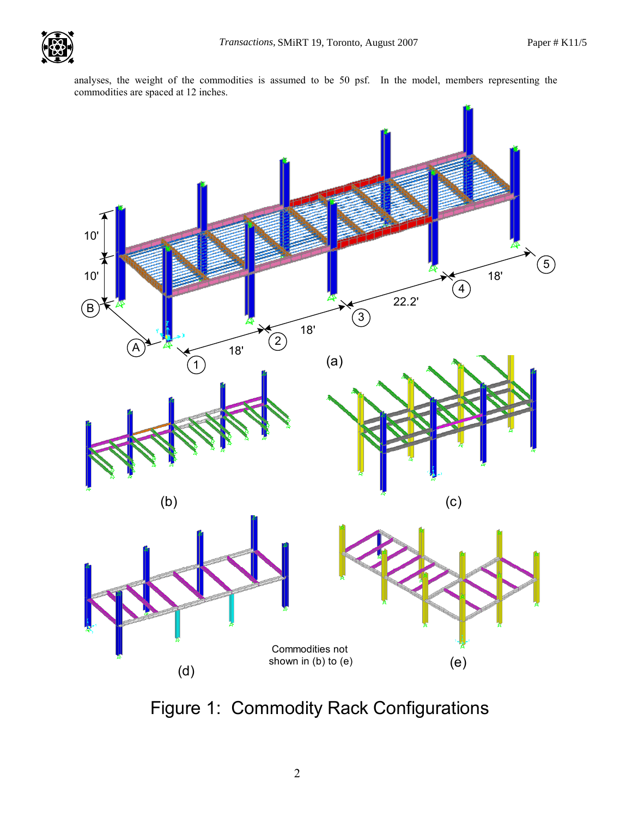analyses, the weight of the commodities is assumed to be 50 psf. In the model, members representing the commodities are spaced at 12 inches.



Figure 1: Commodity Rack Configurations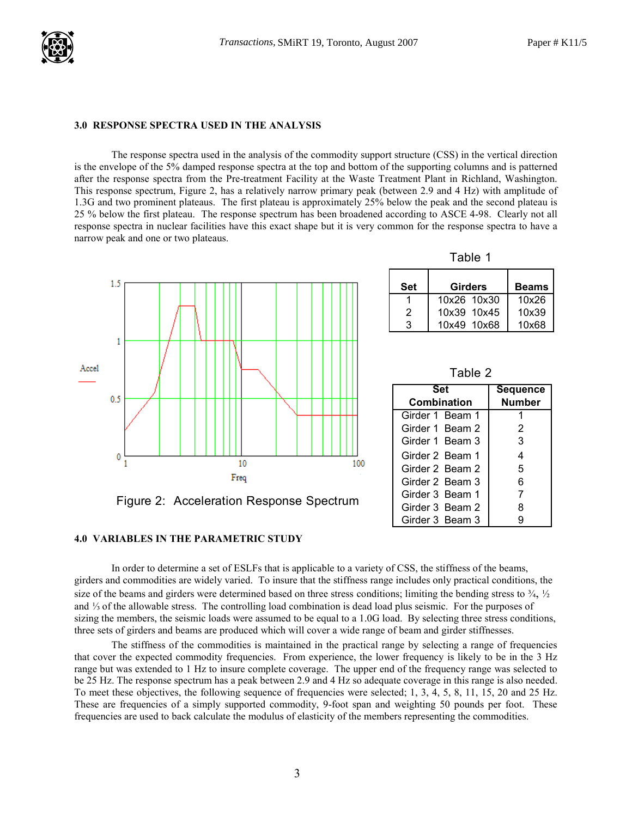

#### 3.0 RESPONSE SPECTRA USED IN THE ANALYSIS

The response spectra used in the analysis of the commodity support structure (CSS) in the vertical direction is the envelope of the 5% damped response spectra at the top and bottom of the supporting columns and is patterned after the response spectra from the Pre-treatment Facility at the Waste Treatment Plant in Richland, Washington. This response spectrum, Figure 2, has a relatively narrow primary peak (between 2.9 and 4 Hz) with amplitude of 1.3G and two prominent plateaus. The first plateau is approximately 25% below the peak and the second plateau is 25 % below the first plateau. The response spectrum has been broadened according to ASCE 4-98. Clearly not all response spectra in nuclear facilities have this exact shape but it is very common for the response spectra to have a narrow peak and one or two plateaus.



Table 1

| Set | <b>Girders</b> | <b>Beams</b> |
|-----|----------------|--------------|
|     | 10x26 10x30    | 10x26        |
| 2   | 10x39 10x45    | 10x39        |
| З   | 10x49 10x68    | 10x68        |

Table 2

| Set                | <b>Sequence</b> |
|--------------------|-----------------|
| <b>Combination</b> | Number          |
| Girder 1 Beam 1    |                 |
| Girder 1 Beam 2    | 2               |
| Girder 1 Beam 3    | 3               |
| Girder 2 Beam 1    | 4               |
| Girder 2 Beam 2    | 5               |
| Girder 2 Beam 3    | 6               |
| Girder 3 Beam 1    | 7               |
| Girder 3 Beam 2    | 8               |
| Girder 3 Beam 3    | g               |

#### 4.0 VARIABLES IN THE PARAMETRIC STUDY

In order to determine a set of ESLFs that is applicable to a variety of CSS, the stiffness of the beams, girders and commodities are widely varied. To insure that the stiffness range includes only practical conditions, the size of the beams and girders were determined based on three stress conditions; limiting the bending stress to  $\frac{3}{4}$ ,  $\frac{1}{2}$ and ⅓ of the allowable stress. The controlling load combination is dead load plus seismic. For the purposes of sizing the members, the seismic loads were assumed to be equal to a 1.0G load. By selecting three stress conditions, three sets of girders and beams are produced which will cover a wide range of beam and girder stiffnesses.

The stiffness of the commodities is maintained in the practical range by selecting a range of frequencies that cover the expected commodity frequencies. From experience, the lower frequency is likely to be in the 3 Hz range but was extended to 1 Hz to insure complete coverage. The upper end of the frequency range was selected to be 25 Hz. The response spectrum has a peak between 2.9 and 4 Hz so adequate coverage in this range is also needed. To meet these objectives, the following sequence of frequencies were selected; 1, 3, 4, 5, 8, 11, 15, 20 and 25 Hz. These are frequencies of a simply supported commodity, 9-foot span and weighting 50 pounds per foot. These frequencies are used to back calculate the modulus of elasticity of the members representing the commodities.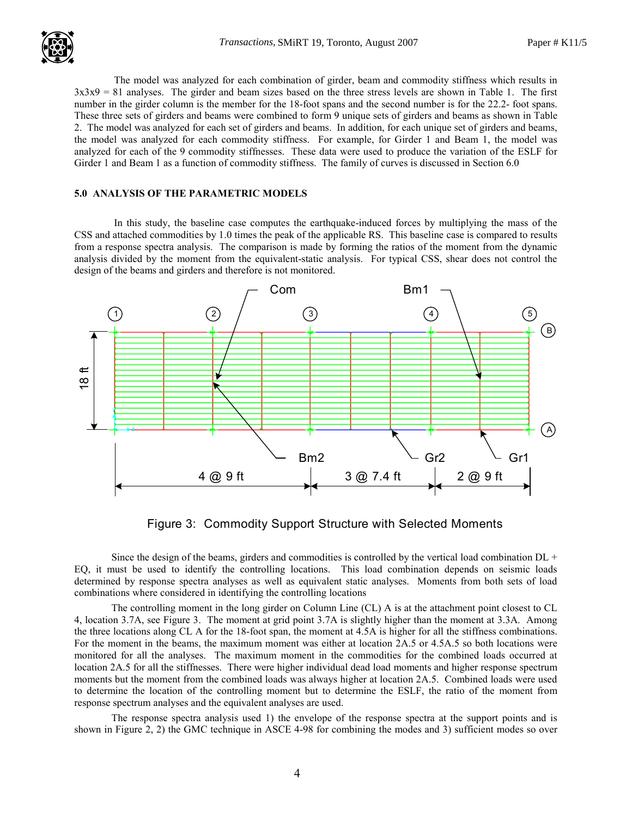The model was analyzed for each combination of girder, beam and commodity stiffness which results in  $3x3x9 = 81$  analyses. The girder and beam sizes based on the three stress levels are shown in Table 1. The first number in the girder column is the member for the 18-foot spans and the second number is for the 22.2- foot spans. These three sets of girders and beams were combined to form 9 unique sets of girders and beams as shown in Table 2. The model was analyzed for each set of girders and beams. In addition, for each unique set of girders and beams, the model was analyzed for each commodity stiffness. For example, for Girder 1 and Beam 1, the model was analyzed for each of the 9 commodity stiffnesses. These data were used to produce the variation of the ESLF for Girder 1 and Beam 1 as a function of commodity stiffness. The family of curves is discussed in Section 6.0

### 5.0 ANALYSIS OF THE PARAMETRIC MODELS

 In this study, the baseline case computes the earthquake-induced forces by multiplying the mass of the CSS and attached commodities by 1.0 times the peak of the applicable RS. This baseline case is compared to results from a response spectra analysis. The comparison is made by forming the ratios of the moment from the dynamic analysis divided by the moment from the equivalent-static analysis. For typical CSS, shear does not control the design of the beams and girders and therefore is not monitored.



Figure 3: Commodity Support Structure with Selected Moments

Since the design of the beams, girders and commodities is controlled by the vertical load combination  $DL +$ EQ, it must be used to identify the controlling locations. This load combination depends on seismic loads determined by response spectra analyses as well as equivalent static analyses. Moments from both sets of load combinations where considered in identifying the controlling locations

The controlling moment in the long girder on Column Line (CL) A is at the attachment point closest to CL 4, location 3.7A, see Figure 3. The moment at grid point 3.7A is slightly higher than the moment at 3.3A. Among the three locations along CL A for the 18-foot span, the moment at 4.5A is higher for all the stiffness combinations. For the moment in the beams, the maximum moment was either at location 2A.5 or 4.5A.5 so both locations were monitored for all the analyses. The maximum moment in the commodities for the combined loads occurred at location 2A.5 for all the stiffnesses. There were higher individual dead load moments and higher response spectrum moments but the moment from the combined loads was always higher at location 2A.5. Combined loads were used to determine the location of the controlling moment but to determine the ESLF, the ratio of the moment from response spectrum analyses and the equivalent analyses are used.

The response spectra analysis used 1) the envelope of the response spectra at the support points and is shown in Figure 2, 2) the GMC technique in ASCE 4-98 for combining the modes and 3) sufficient modes so over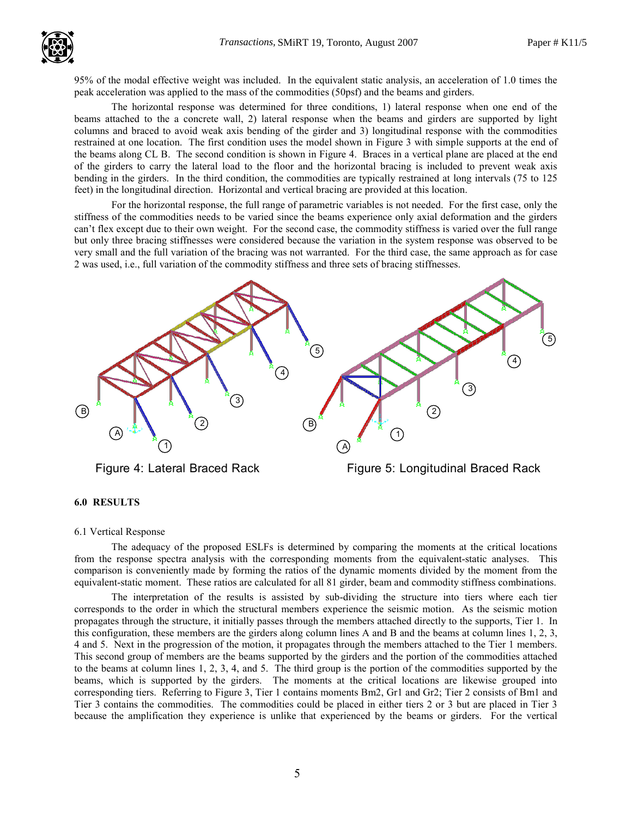

95% of the modal effective weight was included. In the equivalent static analysis, an acceleration of 1.0 times the . peak acceleration was applied to the mass of the commodities (50psf) and the beams and girders.

The horizontal response was determined for three conditions, 1) lateral response when one end of the beams attached to the a concrete wall, 2) lateral response when the beams and girders are supported by light columns and braced to avoid weak axis bending of the girder and 3) longitudinal response with the commodities restrained at one location. The first condition uses the model shown in Figure 3 with simple supports at the end of the beams along CL B. The second condition is shown in Figure 4. Braces in a vertical plane are placed at the end of the girders to carry the lateral load to the floor and the horizontal bracing is included to prevent weak axis bending in the girders. In the third condition, the commodities are typically restrained at long intervals (75 to 125 feet) in the longitudinal direction. Horizontal and vertical bracing are provided at this location.

For the horizontal response, the full range of parametric variables is not needed. For the first case, only the stiffness of the commodities needs to be varied since the beams experience only axial deformation and the girders can't flex except due to their own weight. For the second case, the commodity stiffness is varied over the full range but only three bracing stiffnesses were considered because the variation in the system response was observed to be very small and the full variation of the bracing was not warranted. For the third case, the same approach as for case 2 was used, i.e., full variation of the commodity stiffness and three sets of bracing stiffnesses.



# 6.0 RESULTS

#### 6.1 Vertical Response

The adequacy of the proposed ESLFs is determined by comparing the moments at the critical locations from the response spectra analysis with the corresponding moments from the equivalent-static analyses. This comparison is conveniently made by forming the ratios of the dynamic moments divided by the moment from the equivalent-static moment. These ratios are calculated for all 81 girder, beam and commodity stiffness combinations.

The interpretation of the results is assisted by sub-dividing the structure into tiers where each tier corresponds to the order in which the structural members experience the seismic motion. As the seismic motion propagates through the structure, it initially passes through the members attached directly to the supports, Tier 1. In this configuration, these members are the girders along column lines A and B and the beams at column lines 1, 2, 3, 4 and 5. Next in the progression of the motion, it propagates through the members attached to the Tier 1 members. This second group of members are the beams supported by the girders and the portion of the commodities attached to the beams at column lines 1, 2, 3, 4, and 5. The third group is the portion of the commodities supported by the beams, which is supported by the girders. The moments at the critical locations are likewise grouped into corresponding tiers. Referring to Figure 3, Tier 1 contains moments Bm2, Gr1 and Gr2; Tier 2 consists of Bm1 and Tier 3 contains the commodities. The commodities could be placed in either tiers 2 or 3 but are placed in Tier 3 because the amplification they experience is unlike that experienced by the beams or girders. For the vertical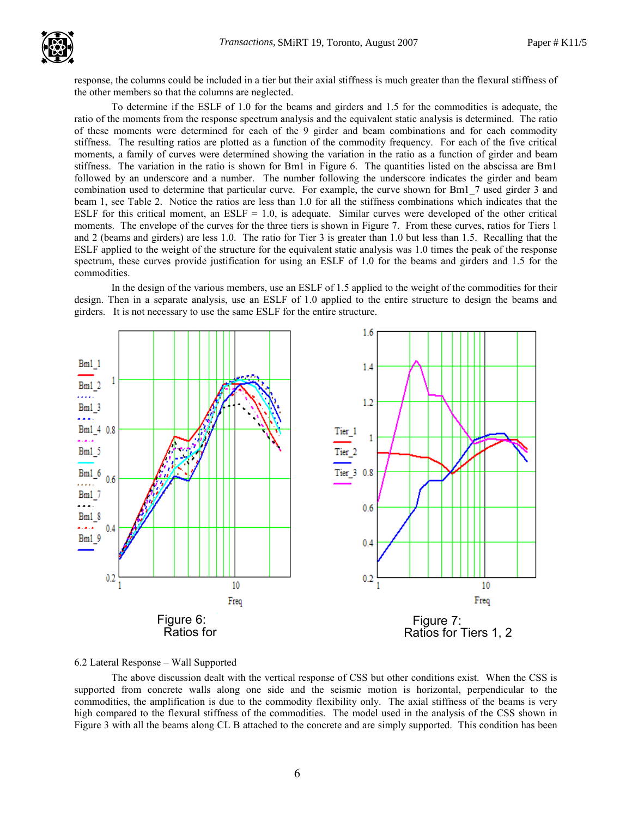

response, the columns could be included in a tier but their axial stiffness is much greater than the flexural stiffness of . the other members so that the columns are neglected.

To determine if the ESLF of 1.0 for the beams and girders and 1.5 for the commodities is adequate, the ratio of the moments from the response spectrum analysis and the equivalent static analysis is determined. The ratio of these moments were determined for each of the 9 girder and beam combinations and for each commodity stiffness. The resulting ratios are plotted as a function of the commodity frequency. For each of the five critical moments, a family of curves were determined showing the variation in the ratio as a function of girder and beam stiffness. The variation in the ratio is shown for Bm1 in Figure 6. The quantities listed on the abscissa are Bm1 followed by an underscore and a number. The number following the underscore indicates the girder and beam combination used to determine that particular curve. For example, the curve shown for Bm1\_7 used girder 3 and beam 1, see Table 2. Notice the ratios are less than 1.0 for all the stiffness combinations which indicates that the ESLF for this critical moment, an ESLF =  $1.0$ , is adequate. Similar curves were developed of the other critical moments. The envelope of the curves for the three tiers is shown in Figure 7. From these curves, ratios for Tiers 1 and 2 (beams and girders) are less 1.0. The ratio for Tier 3 is greater than 1.0 but less than 1.5. Recalling that the ESLF applied to the weight of the structure for the equivalent static analysis was 1.0 times the peak of the response spectrum, these curves provide justification for using an ESLF of 1.0 for the beams and girders and 1.5 for the commodities.

In the design of the various members, use an ESLF of 1.5 applied to the weight of the commodities for their design. Then in a separate analysis, use an ESLF of 1.0 applied to the entire structure to design the beams and girders. It is not necessary to use the same ESLF for the entire structure.



## 6.2 Lateral Response – Wall Supported

The above discussion dealt with the vertical response of CSS but other conditions exist. When the CSS is supported from concrete walls along one side and the seismic motion is horizontal, perpendicular to the commodities, the amplification is due to the commodity flexibility only. The axial stiffness of the beams is very high compared to the flexural stiffness of the commodities. The model used in the analysis of the CSS shown in Figure 3 with all the beams along CL B attached to the concrete and are simply supported. This condition has been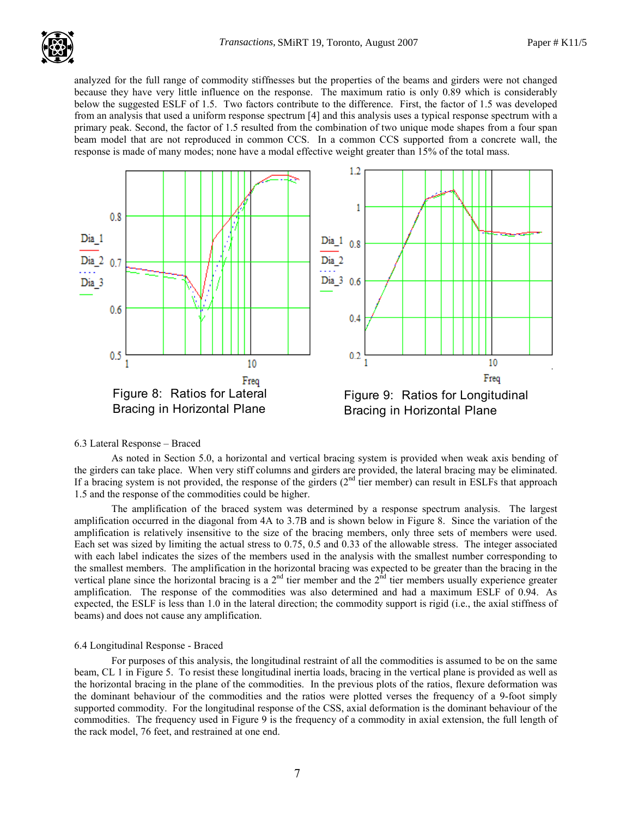analyzed for the full range of commodity stiffnesses but the properties of the beams and girders were not changed . because they have very little influence on the response. The maximum ratio is only 0.89 which is considerably below the suggested ESLF of 1.5. Two factors contribute to the difference. First, the factor of 1.5 was developed from an analysis that used a uniform response spectrum [4] and this analysis uses a typical response spectrum with a primary peak. Second, the factor of 1.5 resulted from the combination of two unique mode shapes from a four span beam model that are not reproduced in common CCS. In a common CCS supported from a concrete wall, the response is made of many modes; none have a modal effective weight greater than 15% of the total mass.



## 6.3 Lateral Response – Braced

As noted in Section 5.0, a horizontal and vertical bracing system is provided when weak axis bending of the girders can take place. When very stiff columns and girders are provided, the lateral bracing may be eliminated. If a bracing system is not provided, the response of the girders  $(2<sup>nd</sup>$  tier member) can result in ESLFs that approach 1.5 and the response of the commodities could be higher.

The amplification of the braced system was determined by a response spectrum analysis. The largest amplification occurred in the diagonal from 4A to 3.7B and is shown below in Figure 8. Since the variation of the amplification is relatively insensitive to the size of the bracing members, only three sets of members were used. Each set was sized by limiting the actual stress to 0.75, 0.5 and 0.33 of the allowable stress. The integer associated with each label indicates the sizes of the members used in the analysis with the smallest number corresponding to the smallest members. The amplification in the horizontal bracing was expected to be greater than the bracing in the vertical plane since the horizontal bracing is a  $2^{nd}$  tier member and the  $2^{nd}$  tier members usually experience greater amplification. The response of the commodities was also determined and had a maximum ESLF of 0.94. As expected, the ESLF is less than 1.0 in the lateral direction; the commodity support is rigid (i.e., the axial stiffness of beams) and does not cause any amplification.

# 6.4 Longitudinal Response - Braced

For purposes of this analysis, the longitudinal restraint of all the commodities is assumed to be on the same beam, CL 1 in Figure 5. To resist these longitudinal inertia loads, bracing in the vertical plane is provided as well as the horizontal bracing in the plane of the commodities. In the previous plots of the ratios, flexure deformation was the dominant behaviour of the commodities and the ratios were plotted verses the frequency of a 9-foot simply supported commodity. For the longitudinal response of the CSS, axial deformation is the dominant behaviour of the commodities. The frequency used in Figure 9 is the frequency of a commodity in axial extension, the full length of the rack model, 76 feet, and restrained at one end.